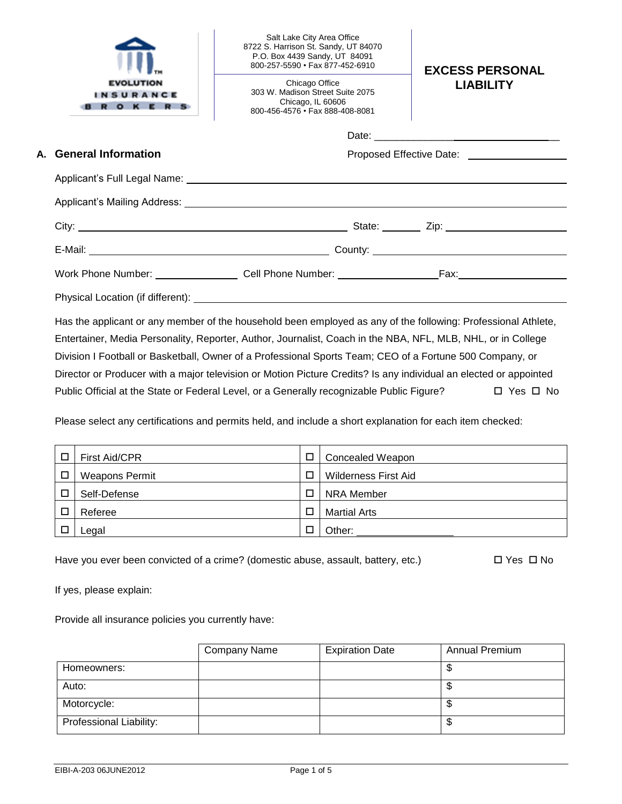|                                                        |                        | Salt Lake City Area Office<br>8722 S. Harrison St. Sandy, UT 84070<br>P.O. Box 4439 Sandy, UT 84091<br>800-257-5590 · Fax 877-452-6910                                                                                              | <b>EXCESS PERSONAL</b>                                 |  |
|--------------------------------------------------------|------------------------|-------------------------------------------------------------------------------------------------------------------------------------------------------------------------------------------------------------------------------------|--------------------------------------------------------|--|
| <b>EVOLUTION</b><br><b>INSURANCE</b><br><b>BROKERS</b> |                        | Chicago Office<br>303 W. Madison Street Suite 2075<br>Chicago, IL 60606<br>800-456-4576 • Fax 888-408-8081                                                                                                                          | <b>LIABILITY</b>                                       |  |
|                                                        |                        |                                                                                                                                                                                                                                     |                                                        |  |
|                                                        | A. General Information |                                                                                                                                                                                                                                     | Proposed Effective Date: <u>______________________</u> |  |
|                                                        |                        |                                                                                                                                                                                                                                     |                                                        |  |
|                                                        |                        |                                                                                                                                                                                                                                     |                                                        |  |
|                                                        |                        |                                                                                                                                                                                                                                     |                                                        |  |
|                                                        |                        |                                                                                                                                                                                                                                     |                                                        |  |
|                                                        |                        |                                                                                                                                                                                                                                     |                                                        |  |
|                                                        |                        | Physical Location (if different): <b>Example 2</b> and 2 and 2 and 2 and 2 and 2 and 2 and 2 and 2 and 2 and 2 and 2 and 2 and 2 and 2 and 2 and 2 and 2 and 2 and 2 and 2 and 2 and 2 and 2 and 2 and 2 and 2 and 2 and 2 and 2 an |                                                        |  |

Has the applicant or any member of the household been employed as any of the following: Professional Athlete, Entertainer, Media Personality, Reporter, Author, Journalist, Coach in the NBA, NFL, MLB, NHL, or in College Division I Football or Basketball, Owner of a Professional Sports Team; CEO of a Fortune 500 Company, or Director or Producer with a major television or Motion Picture Credits? Is any individual an elected or appointed Public Official at the State or Federal Level, or a Generally recognizable Public Figure? □ Yes □ No

Please select any certifications and permits held, and include a short explanation for each item checked:

|        | First Aid/CPR  | Concealed Weapon            |
|--------|----------------|-----------------------------|
| $\Box$ | Weapons Permit | <b>Wilderness First Aid</b> |
|        | Self-Defense   | NRA Member                  |
|        | Referee        | <b>Martial Arts</b>         |
|        | ∟egal          | Other:                      |

Have you ever been convicted of a crime? (domestic abuse, assault, battery, etc.)  $\square$  Yes  $\square$  No

If yes, please explain:

Provide all insurance policies you currently have:

|                         | <b>Company Name</b> | <b>Expiration Date</b> | <b>Annual Premium</b> |
|-------------------------|---------------------|------------------------|-----------------------|
| Homeowners:             |                     |                        | \$                    |
| Auto:                   |                     |                        | \$                    |
| Motorcycle:             |                     |                        | ጥ<br>D                |
| Professional Liability: |                     |                        | \$                    |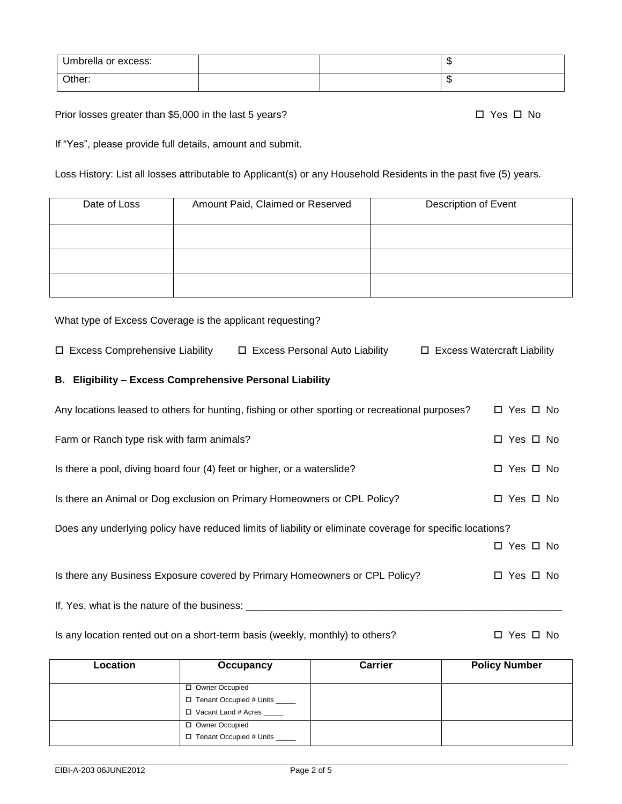| Umbrella or excess: |  | œ<br>۰D |
|---------------------|--|---------|
| $\bigcirc$ ther:    |  | æ<br>۰D |

Prior losses greater than \$5,000 in the last 5 years?  $\square$  Yes  $\square$  No

If "Yes", please provide full details, amount and submit.

Loss History: List all losses attributable to Applicant(s) or any Household Residents in the past five (5) years.

| Date of Loss | Amount Paid, Claimed or Reserved | Description of Event |
|--------------|----------------------------------|----------------------|
|              |                                  |                      |
|              |                                  |                      |
|              |                                  |                      |

What type of Excess Coverage is the applicant requesting?

| $\Box$ Excess Comprehensive Liability $\Box$ Excess Personal Auto Liability<br>$\Box$ Excess Watercraft Liability       |                                                                                                           |            |            |  |  |  |  |
|-------------------------------------------------------------------------------------------------------------------------|-----------------------------------------------------------------------------------------------------------|------------|------------|--|--|--|--|
| B. Eligibility - Excess Comprehensive Personal Liability                                                                |                                                                                                           |            |            |  |  |  |  |
| Any locations leased to others for hunting, fishing or other sporting or recreational purposes?<br>$\Box$ Yes $\Box$ No |                                                                                                           |            |            |  |  |  |  |
| Farm or Ranch type risk with farm animals?                                                                              |                                                                                                           | □ Yes □ No |            |  |  |  |  |
| Is there a pool, diving board four (4) feet or higher, or a waterslide?                                                 |                                                                                                           | □ Yes □ No |            |  |  |  |  |
| Is there an Animal or Dog exclusion on Primary Homeowners or CPL Policy?                                                |                                                                                                           | □ Yes □ No |            |  |  |  |  |
|                                                                                                                         | Does any underlying policy have reduced limits of liability or eliminate coverage for specific locations? |            |            |  |  |  |  |
|                                                                                                                         | □ Yes □ No                                                                                                |            |            |  |  |  |  |
|                                                                                                                         | Is there any Business Exposure covered by Primary Homeowners or CPL Policy?                               |            | □ Yes □ No |  |  |  |  |
|                                                                                                                         |                                                                                                           |            |            |  |  |  |  |
| Is any location rented out on a short-term basis (weekly, monthly) to others?                                           |                                                                                                           |            | □ Yes □ No |  |  |  |  |

| Location | Occupancy                                                                     |  | <b>Policy Number</b> |
|----------|-------------------------------------------------------------------------------|--|----------------------|
|          | □ Owner Occupied<br>□ Tenant Occupied # Units<br>□ Vacant Land # Acres ______ |  |                      |
|          | □ Owner Occupied<br>□ Tenant Occupied # Units                                 |  |                      |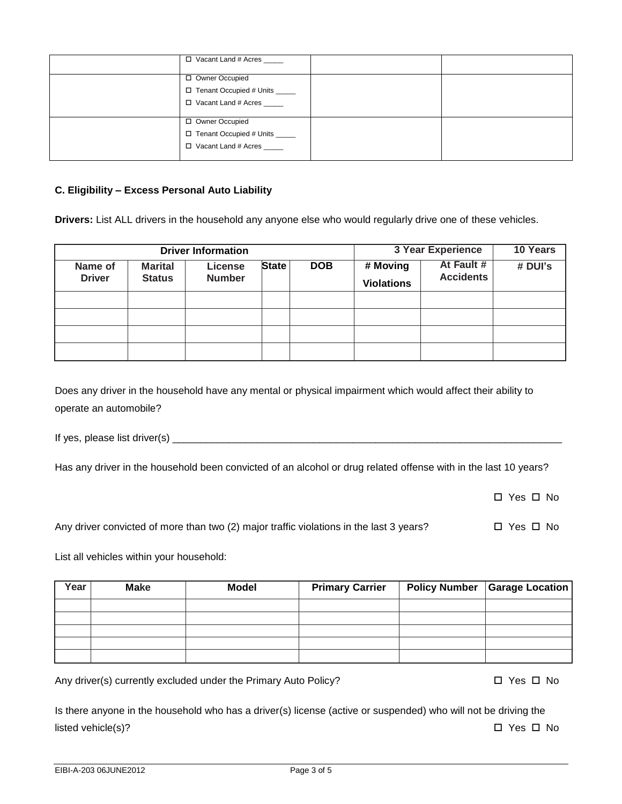| □ Vacant Land # Acres _____                                                        |  |
|------------------------------------------------------------------------------------|--|
| □ Owner Occupied<br>□ Tenant Occupied # Units _____<br>□ Vacant Land # Acres ____  |  |
| □ Owner Occupied<br>□ Tenant Occupied # Units _____<br>□ Vacant Land # Acres _____ |  |

## **C. Eligibility – Excess Personal Auto Liability**

**Drivers:** List ALL drivers in the household any anyone else who would regularly drive one of these vehicles.

|                          | <b>Driver Information</b>       |                                 |              |            |                               | 3 Year Experience              | 10 Years |
|--------------------------|---------------------------------|---------------------------------|--------------|------------|-------------------------------|--------------------------------|----------|
| Name of<br><b>Driver</b> | <b>Marital</b><br><b>Status</b> | <b>License</b><br><b>Number</b> | <b>State</b> | <b>DOB</b> | # Moving<br><b>Violations</b> | At Fault #<br><b>Accidents</b> | # DUI's  |
|                          |                                 |                                 |              |            |                               |                                |          |
|                          |                                 |                                 |              |            |                               |                                |          |
|                          |                                 |                                 |              |            |                               |                                |          |
|                          |                                 |                                 |              |            |                               |                                |          |

Does any driver in the household have any mental or physical impairment which would affect their ability to operate an automobile?

If yes, please list driver(s) \_\_\_\_\_\_\_\_\_\_\_\_\_\_\_\_\_\_\_\_\_\_\_\_\_\_\_\_\_\_\_\_\_\_\_\_\_\_\_\_\_\_\_\_\_\_\_\_\_\_\_\_\_\_\_\_\_\_\_\_\_\_\_\_\_\_\_\_\_

Has any driver in the household been convicted of an alcohol or drug related offense with in the last 10 years?

Yes No

Any driver convicted of more than two (2) major traffic violations in the last 3 years?  $\square$  Yes  $\square$  No

List all vehicles within your household:

| Year | <b>Make</b> | Model | <b>Primary Carrier</b> | <b>Policy Number   Garage Location  </b> |
|------|-------------|-------|------------------------|------------------------------------------|
|      |             |       |                        |                                          |
|      |             |       |                        |                                          |
|      |             |       |                        |                                          |
|      |             |       |                        |                                          |
|      |             |       |                        |                                          |

Any driver(s) currently excluded under the Primary Auto Policy?  $\square$  Yes  $\square$  No

| Is there anyone in the household who has a driver(s) license (active or suspended) who will not be driving the |            |
|----------------------------------------------------------------------------------------------------------------|------------|
| listed vehicle(s)?                                                                                             | □ Yes □ No |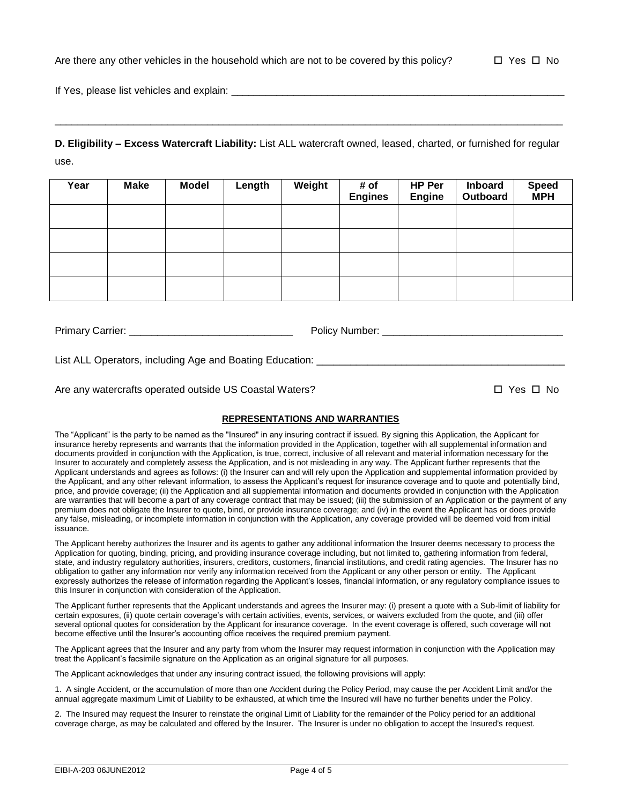If Yes, please list vehicles and explain:

**D. Eligibility – Excess Watercraft Liability:** List ALL watercraft owned, leased, charted, or furnished for regular use.

\_\_\_\_\_\_\_\_\_\_\_\_\_\_\_\_\_\_\_\_\_\_\_\_\_\_\_\_\_\_\_\_\_\_\_\_\_\_\_\_\_\_\_\_\_\_\_\_\_\_\_\_\_\_\_\_\_\_\_\_\_\_\_\_\_\_\_\_\_\_\_\_\_\_\_\_\_\_\_\_\_\_\_\_\_\_\_\_\_\_

| Year | <b>Make</b> | <b>Model</b> | Length | Weight | # of<br><b>Engines</b> | HP Per<br><b>Engine</b> | <b>Inboard</b><br>Outboard | <b>Speed</b><br><b>MPH</b> |
|------|-------------|--------------|--------|--------|------------------------|-------------------------|----------------------------|----------------------------|
|      |             |              |        |        |                        |                         |                            |                            |
|      |             |              |        |        |                        |                         |                            |                            |
|      |             |              |        |        |                        |                         |                            |                            |
|      |             |              |        |        |                        |                         |                            |                            |

Primary Carrier: \_\_\_\_\_\_\_\_\_\_\_\_\_\_\_\_\_\_\_\_\_\_\_\_\_\_\_\_\_ Policy Number: \_\_\_\_\_\_\_\_\_\_\_\_\_\_\_\_\_\_\_\_\_\_\_\_\_\_\_\_\_\_\_\_

List ALL Operators, including Age and Boating Education:

Are any watercrafts operated outside US Coastal Waters?  $\square$  Yes  $\square$  Yes  $\square$  No

## **REPRESENTATIONS AND WARRANTIES**

The "Applicant" is the party to be named as the "Insured" in any insuring contract if issued. By signing this Application, the Applicant for insurance hereby represents and warrants that the information provided in the Application, together with all supplemental information and documents provided in conjunction with the Application, is true, correct, inclusive of all relevant and material information necessary for the Insurer to accurately and completely assess the Application, and is not misleading in any way. The Applicant further represents that the Applicant understands and agrees as follows: (i) the Insurer can and will rely upon the Application and supplemental information provided by the Applicant, and any other relevant information, to assess the Applicant's request for insurance coverage and to quote and potentially bind, price, and provide coverage; (ii) the Application and all supplemental information and documents provided in conjunction with the Application are warranties that will become a part of any coverage contract that may be issued; (iii) the submission of an Application or the payment of any premium does not obligate the Insurer to quote, bind, or provide insurance coverage; and (iv) in the event the Applicant has or does provide any false, misleading, or incomplete information in conjunction with the Application, any coverage provided will be deemed void from initial issuance.

The Applicant hereby authorizes the Insurer and its agents to gather any additional information the Insurer deems necessary to process the Application for quoting, binding, pricing, and providing insurance coverage including, but not limited to, gathering information from federal, state, and industry regulatory authorities, insurers, creditors, customers, financial institutions, and credit rating agencies. The Insurer has no obligation to gather any information nor verify any information received from the Applicant or any other person or entity. The Applicant expressly authorizes the release of information regarding the Applicant's losses, financial information, or any regulatory compliance issues to this Insurer in conjunction with consideration of the Application.

The Applicant further represents that the Applicant understands and agrees the Insurer may: (i) present a quote with a Sub-limit of liability for certain exposures, (ii) quote certain coverage's with certain activities, events, services, or waivers excluded from the quote, and (iii) offer several optional quotes for consideration by the Applicant for insurance coverage. In the event coverage is offered, such coverage will not become effective until the Insurer's accounting office receives the required premium payment.

The Applicant agrees that the Insurer and any party from whom the Insurer may request information in conjunction with the Application may treat the Applicant's facsimile signature on the Application as an original signature for all purposes.

The Applicant acknowledges that under any insuring contract issued, the following provisions will apply:

1. A single Accident, or the accumulation of more than one Accident during the Policy Period, may cause the per Accident Limit and/or the annual aggregate maximum Limit of Liability to be exhausted, at which time the Insured will have no further benefits under the Policy.

2. The Insured may request the Insurer to reinstate the original Limit of Liability for the remainder of the Policy period for an additional coverage charge, as may be calculated and offered by the Insurer. The Insurer is under no obligation to accept the Insured's request.